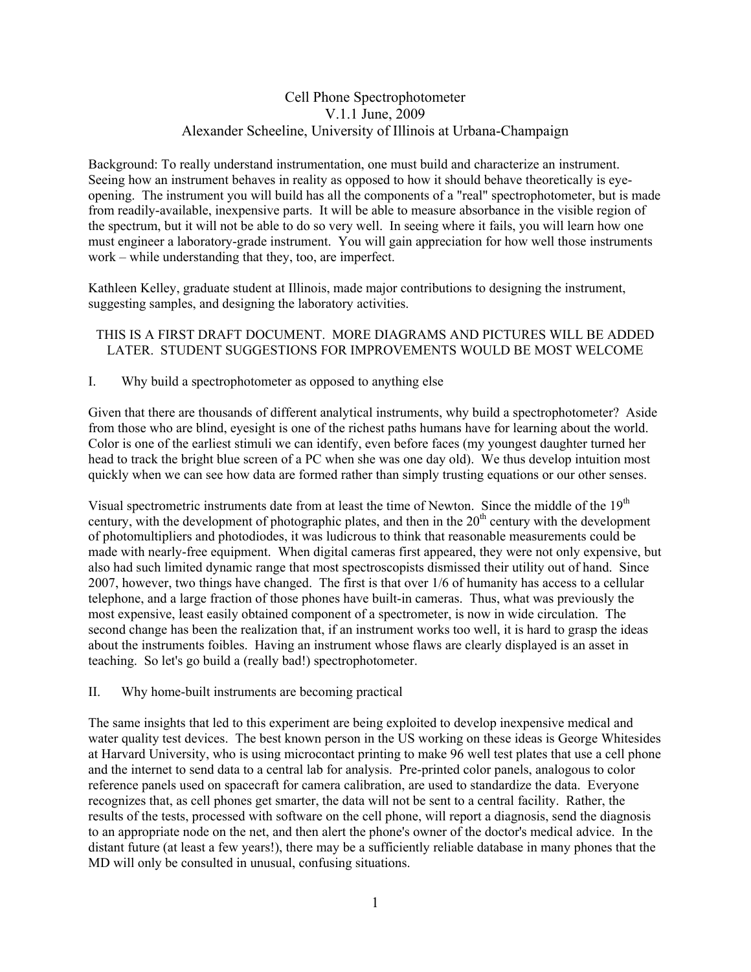# Cell Phone Spectrophotometer V.1.1 June, 2009 Alexander Scheeline, University of Illinois at Urbana-Champaign

Background: To really understand instrumentation, one must build and characterize an instrument. Seeing how an instrument behaves in reality as opposed to how it should behave theoretically is eyeopening. The instrument you will build has all the components of a "real" spectrophotometer, but is made from readily-available, inexpensive parts. It will be able to measure absorbance in the visible region of the spectrum, but it will not be able to do so very well. In seeing where it fails, you will learn how one must engineer a laboratory-grade instrument. You will gain appreciation for how well those instruments work – while understanding that they, too, are imperfect.

Kathleen Kelley, graduate student at Illinois, made major contributions to designing the instrument, suggesting samples, and designing the laboratory activities.

### THIS IS A FIRST DRAFT DOCUMENT. MORE DIAGRAMS AND PICTURES WILL BE ADDED LATER. STUDENT SUGGESTIONS FOR IMPROVEMENTS WOULD BE MOST WELCOME

### I. Why build a spectrophotometer as opposed to anything else

Given that there are thousands of different analytical instruments, why build a spectrophotometer? Aside from those who are blind, eyesight is one of the richest paths humans have for learning about the world. Color is one of the earliest stimuli we can identify, even before faces (my youngest daughter turned her head to track the bright blue screen of a PC when she was one day old). We thus develop intuition most quickly when we can see how data are formed rather than simply trusting equations or our other senses.

Visual spectrometric instruments date from at least the time of Newton. Since the middle of the 19<sup>th</sup> century, with the development of photographic plates, and then in the  $20<sup>th</sup>$  century with the development of photomultipliers and photodiodes, it was ludicrous to think that reasonable measurements could be made with nearly-free equipment. When digital cameras first appeared, they were not only expensive, but also had such limited dynamic range that most spectroscopists dismissed their utility out of hand. Since 2007, however, two things have changed. The first is that over 1/6 of humanity has access to a cellular telephone, and a large fraction of those phones have built-in cameras. Thus, what was previously the most expensive, least easily obtained component of a spectrometer, is now in wide circulation. The second change has been the realization that, if an instrument works too well, it is hard to grasp the ideas about the instruments foibles. Having an instrument whose flaws are clearly displayed is an asset in teaching. So let's go build a (really bad!) spectrophotometer.

#### II. Why home-built instruments are becoming practical

The same insights that led to this experiment are being exploited to develop inexpensive medical and water quality test devices. The best known person in the US working on these ideas is George Whitesides at Harvard University, who is using microcontact printing to make 96 well test plates that use a cell phone and the internet to send data to a central lab for analysis. Pre-printed color panels, analogous to color reference panels used on spacecraft for camera calibration, are used to standardize the data. Everyone recognizes that, as cell phones get smarter, the data will not be sent to a central facility. Rather, the results of the tests, processed with software on the cell phone, will report a diagnosis, send the diagnosis to an appropriate node on the net, and then alert the phone's owner of the doctor's medical advice. In the distant future (at least a few years!), there may be a sufficiently reliable database in many phones that the MD will only be consulted in unusual, confusing situations.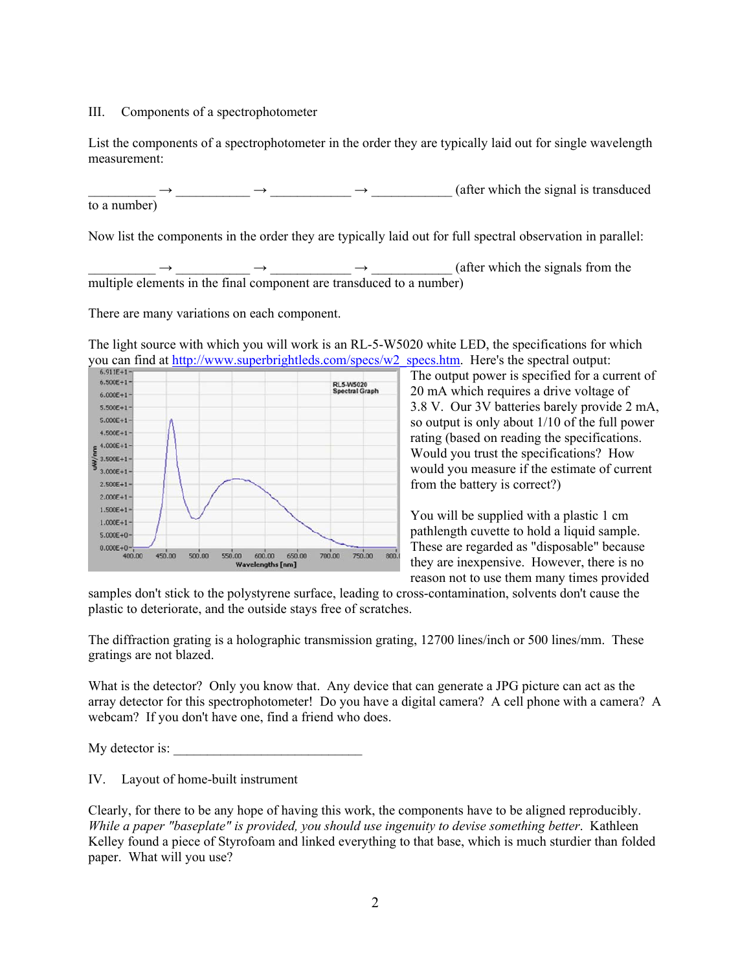#### III. Components of a spectrophotometer

List the components of a spectrophotometer in the order they are typically laid out for single wavelength measurement:

\_\_\_\_\_\_\_\_\_\_ → \_\_\_\_\_\_\_\_\_\_\_ → \_\_\_\_\_\_\_\_\_\_\_\_ → \_\_\_\_\_\_\_\_\_\_\_\_ (after which the signal is transduced to a number)

Now list the components in the order they are typically laid out for full spectral observation in parallel:

\_\_\_\_\_\_\_\_\_\_ → \_\_\_\_\_\_\_\_\_\_\_ → \_\_\_\_\_\_\_\_\_\_\_\_ → \_\_\_\_\_\_\_\_\_\_\_\_ (after which the signals from the multiple elements in the final component are transduced to a number)

There are many variations on each component.

The light source with which you will work is an RL-5-W5020 white LED, the specifications for which you can find at <u>http://www.superbrightleds.com/specs/w2\_specs.htm</u>. Here's the spectral output:



The output power is specified for a current of 20 mA which requires a drive voltage of 3.8 V. Our 3V batteries barely provide 2 mA, so output is only about 1/10 of the full power rating (based on reading the specifications. Would you trust the specifications? How would you measure if the estimate of current from the battery is correct?)

You will be supplied with a plastic 1 cm pathlength cuvette to hold a liquid sample. These are regarded as "disposable" because they are inexpensive. However, there is no reason not to use them many times provided

samples don't stick to the polystyrene surface, leading to cross-contamination, solvents don't cause the plastic to deteriorate, and the outside stays free of scratches.

The diffraction grating is a holographic transmission grating, 12700 lines/inch or 500 lines/mm. These gratings are not blazed.

What is the detector? Only you know that. Any device that can generate a JPG picture can act as the array detector for this spectrophotometer! Do you have a digital camera? A cell phone with a camera? A webcam? If you don't have one, find a friend who does.

My detector is:

IV. Layout of home-built instrument

Clearly, for there to be any hope of having this work, the components have to be aligned reproducibly. *While a paper "baseplate" is provided, you should use ingenuity to devise something better*. Kathleen Kelley found a piece of Styrofoam and linked everything to that base, which is much sturdier than folded paper. What will you use?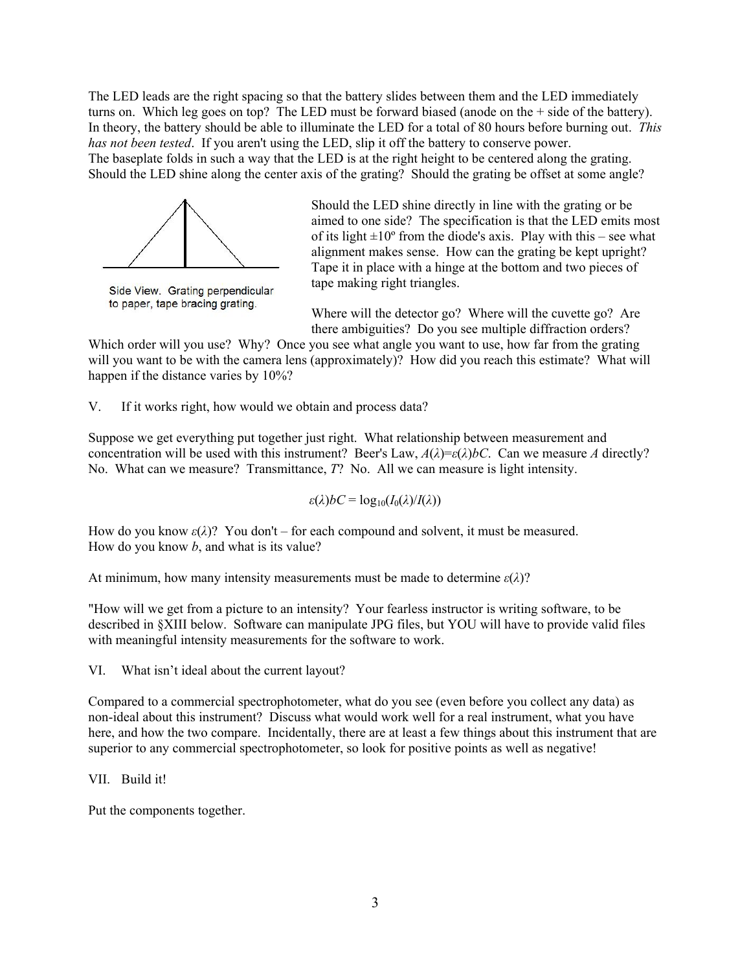The LED leads are the right spacing so that the battery slides between them and the LED immediately turns on. Which leg goes on top? The LED must be forward biased (anode on the + side of the battery). In theory, the battery should be able to illuminate the LED for a total of 80 hours before burning out. *This has not been tested*. If you aren't using the LED, slip it off the battery to conserve power. The baseplate folds in such a way that the LED is at the right height to be centered along the grating. Should the LED shine along the center axis of the grating? Should the grating be offset at some angle?



Side View. Grating perpendicular to paper, tape bracing grating.

Should the LED shine directly in line with the grating or be aimed to one side? The specification is that the LED emits most of its light  $\pm 10^{\circ}$  from the diode's axis. Play with this – see what alignment makes sense. How can the grating be kept upright? Tape it in place with a hinge at the bottom and two pieces of tape making right triangles.

Where will the detector go? Where will the cuvette go? Are there ambiguities? Do you see multiple diffraction orders?

Which order will you use? Why? Once you see what angle you want to use, how far from the grating will you want to be with the camera lens (approximately)? How did you reach this estimate? What will happen if the distance varies by 10%?

V. If it works right, how would we obtain and process data?

Suppose we get everything put together just right. What relationship between measurement and concentration will be used with this instrument? Beer's Law,  $A(\lambda) = \varepsilon(\lambda) bC$ . Can we measure *A* directly? No. What can we measure? Transmittance, *T*? No. All we can measure is light intensity.

$$
\varepsilon(\lambda)bC = \log_{10}(I_0(\lambda)/I(\lambda))
$$

How do you know  $\varepsilon(\lambda)$ ? You don't – for each compound and solvent, it must be measured. How do you know *b*, and what is its value?

At minimum, how many intensity measurements must be made to determine *ε*(*λ*)?

"How will we get from a picture to an intensity? Your fearless instructor is writing software, to be described in §XIII below. Software can manipulate JPG files, but YOU will have to provide valid files with meaningful intensity measurements for the software to work.

VI. What isn't ideal about the current layout?

Compared to a commercial spectrophotometer, what do you see (even before you collect any data) as non-ideal about this instrument? Discuss what would work well for a real instrument, what you have here, and how the two compare. Incidentally, there are at least a few things about this instrument that are superior to any commercial spectrophotometer, so look for positive points as well as negative!

VII. Build it!

Put the components together.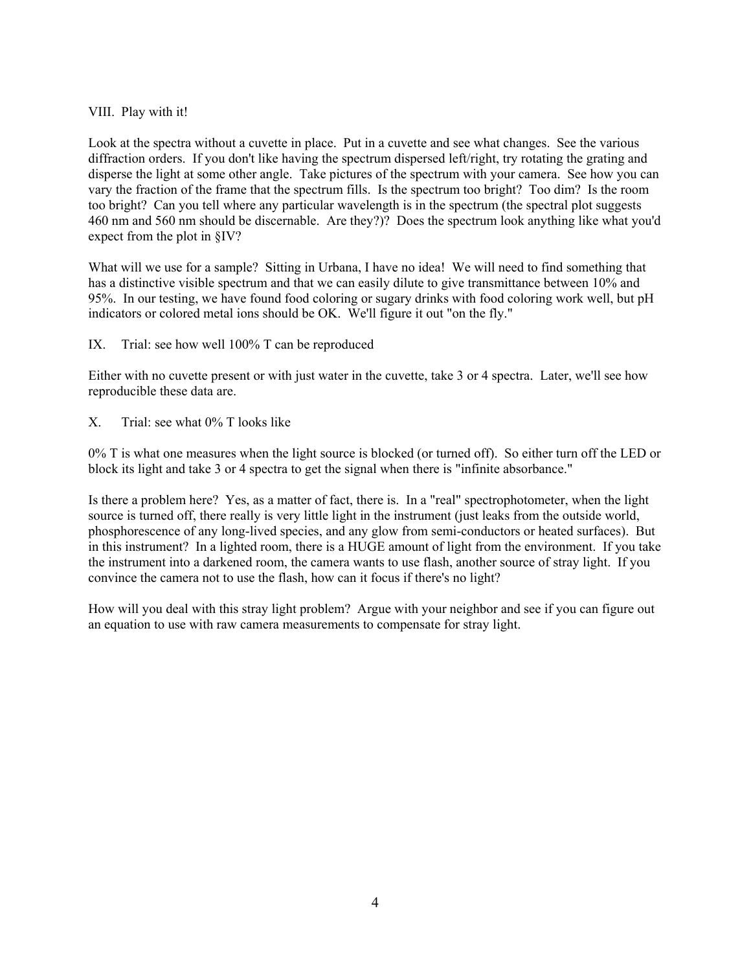### VIII. Play with it!

Look at the spectra without a cuvette in place. Put in a cuvette and see what changes. See the various diffraction orders. If you don't like having the spectrum dispersed left/right, try rotating the grating and disperse the light at some other angle. Take pictures of the spectrum with your camera. See how you can vary the fraction of the frame that the spectrum fills. Is the spectrum too bright? Too dim? Is the room too bright? Can you tell where any particular wavelength is in the spectrum (the spectral plot suggests 460 nm and 560 nm should be discernable. Are they?)? Does the spectrum look anything like what you'd expect from the plot in §IV?

What will we use for a sample? Sitting in Urbana, I have no idea! We will need to find something that has a distinctive visible spectrum and that we can easily dilute to give transmittance between 10% and 95%. In our testing, we have found food coloring or sugary drinks with food coloring work well, but pH indicators or colored metal ions should be OK. We'll figure it out "on the fly."

IX. Trial: see how well 100% T can be reproduced

Either with no cuvette present or with just water in the cuvette, take 3 or 4 spectra. Later, we'll see how reproducible these data are.

X. Trial: see what 0% T looks like

0% T is what one measures when the light source is blocked (or turned off). So either turn off the LED or block its light and take 3 or 4 spectra to get the signal when there is "infinite absorbance."

Is there a problem here? Yes, as a matter of fact, there is. In a "real" spectrophotometer, when the light source is turned off, there really is very little light in the instrument (just leaks from the outside world, phosphorescence of any long-lived species, and any glow from semi-conductors or heated surfaces). But in this instrument? In a lighted room, there is a HUGE amount of light from the environment. If you take the instrument into a darkened room, the camera wants to use flash, another source of stray light. If you convince the camera not to use the flash, how can it focus if there's no light?

How will you deal with this stray light problem? Argue with your neighbor and see if you can figure out an equation to use with raw camera measurements to compensate for stray light.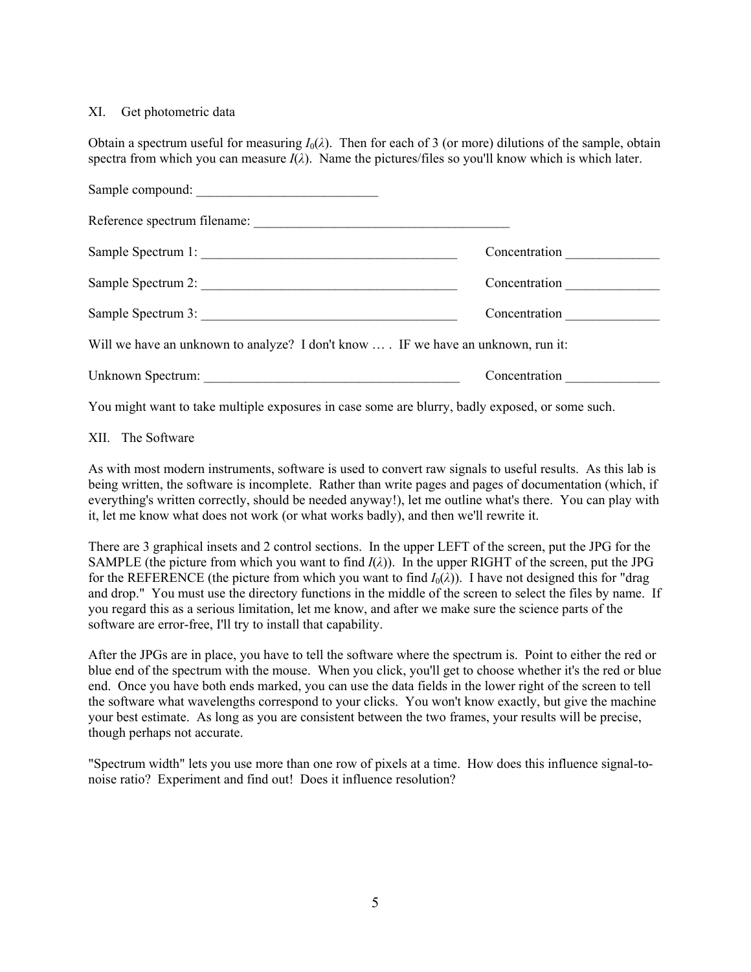### XI. Get photometric data

Obtain a spectrum useful for measuring  $I_0(\lambda)$ . Then for each of 3 (or more) dilutions of the sample, obtain spectra from which you can measure  $I(\lambda)$ . Name the pictures/files so you'll know which is which later.

| Sample compound:                                                                 |               |
|----------------------------------------------------------------------------------|---------------|
|                                                                                  |               |
| Sample Spectrum 1:                                                               | Concentration |
| Sample Spectrum 2:                                                               | Concentration |
| Sample Spectrum 3:                                                               | Concentration |
| Will we have an unknown to analyze? I don't know  IF we have an unknown, run it: |               |
|                                                                                  | Concentration |

You might want to take multiple exposures in case some are blurry, badly exposed, or some such.

### XII. The Software

As with most modern instruments, software is used to convert raw signals to useful results. As this lab is being written, the software is incomplete. Rather than write pages and pages of documentation (which, if everything's written correctly, should be needed anyway!), let me outline what's there. You can play with it, let me know what does not work (or what works badly), and then we'll rewrite it.

There are 3 graphical insets and 2 control sections. In the upper LEFT of the screen, put the JPG for the SAMPLE (the picture from which you want to find  $I(\lambda)$ ). In the upper RIGHT of the screen, put the JPG for the REFERENCE (the picture from which you want to find  $I_0(\lambda)$ ). I have not designed this for "drag and drop." You must use the directory functions in the middle of the screen to select the files by name. If you regard this as a serious limitation, let me know, and after we make sure the science parts of the software are error-free, I'll try to install that capability.

After the JPGs are in place, you have to tell the software where the spectrum is. Point to either the red or blue end of the spectrum with the mouse. When you click, you'll get to choose whether it's the red or blue end. Once you have both ends marked, you can use the data fields in the lower right of the screen to tell the software what wavelengths correspond to your clicks. You won't know exactly, but give the machine your best estimate. As long as you are consistent between the two frames, your results will be precise, though perhaps not accurate.

"Spectrum width" lets you use more than one row of pixels at a time. How does this influence signal-tonoise ratio? Experiment and find out! Does it influence resolution?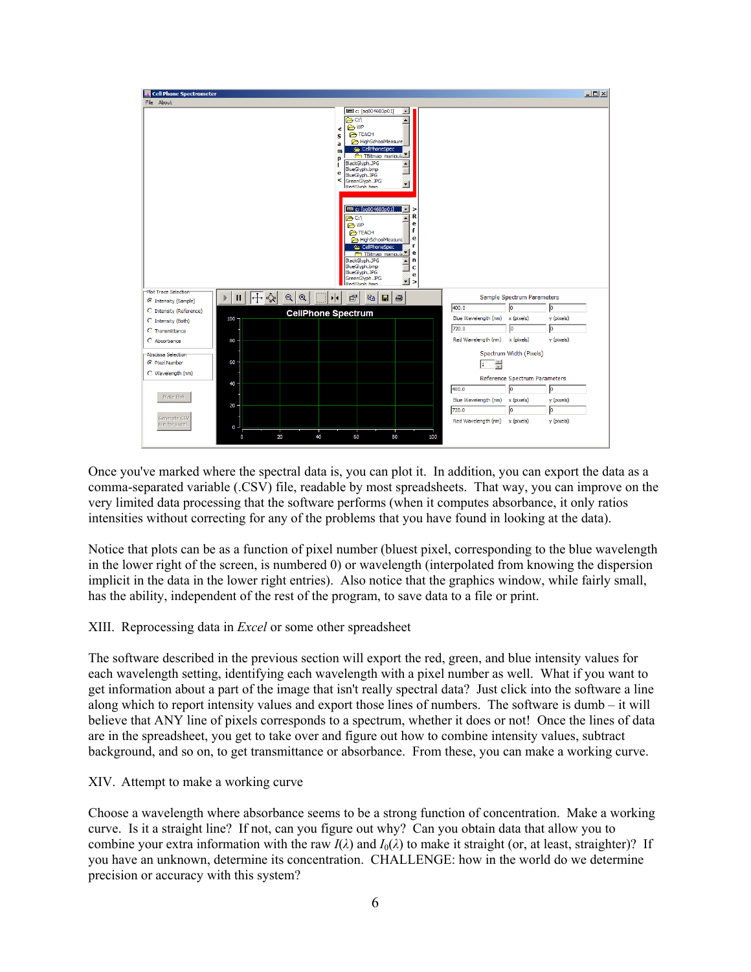

Once you've marked where the spectral data is, you can plot it. In addition, you can export the data as a comma-separated variable (.CSV) file, readable by most spreadsheets. That way, you can improve on the very limited data processing that the software performs (when it computes absorbance, it only ratios intensities without correcting for any of the problems that you have found in looking at the data).

Notice that plots can be as a function of pixel number (bluest pixel, corresponding to the blue wavelength in the lower right of the screen, is numbered 0) or wavelength (interpolated from knowing the dispersion implicit in the data in the lower right entries). Also notice that the graphics window, while fairly small, has the ability, independent of the rest of the program, to save data to a file or print.

#### XIII. Reprocessing data in *Excel* or some other spreadsheet

The software described in the previous section will export the red, green, and blue intensity values for each wavelength setting, identifying each wavelength with a pixel number as well. What if you want to get information about a part of the image that isn't really spectral data? Just click into the software a line along which to report intensity values and export those lines of numbers. The software is dumb – it will believe that ANY line of pixels corresponds to a spectrum, whether it does or not! Once the lines of data are in the spreadsheet, you get to take over and figure out how to combine intensity values, subtract background, and so on, to get transmittance or absorbance. From these, you can make a working curve.

#### XIV. Attempt to make a working curve

Choose a wavelength where absorbance seems to be a strong function of concentration. Make a working curve. Is it a straight line? If not, can you figure out why? Can you obtain data that allow you to combine your extra information with the raw  $I(\lambda)$  and  $I_0(\lambda)$  to make it straight (or, at least, straighter)? If you have an unknown, determine its concentration. CHALLENGE: how in the world do we determine precision or accuracy with this system?